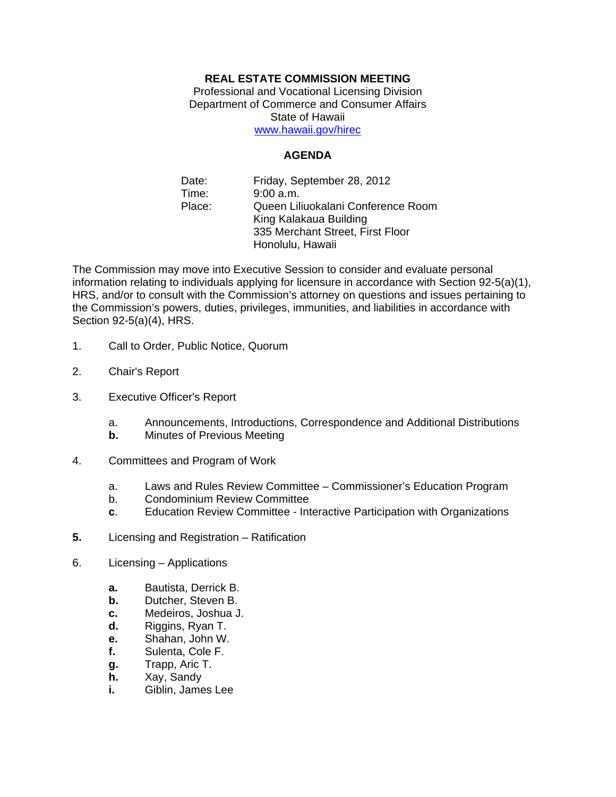## **REAL ESTATE COMMISSION MEETING**

Professional and Vocational Licensing Division Department of Commerce and Consumer Affairs State of Hawaii www.hawaii.gov/hirec

**AGENDA** 

Date: Time: Place: Friday, September 28, 2012 9:00 a.m. Queen Liliuokalani Conference Room King Kalakaua Building 335 Merchant Street, First Floor Honolulu, Hawaii

The Commission may move into Executive Session to consider and evaluate personal information relating to individuals applying for licensure in accordance with Section 92-5(a)(1), HRS, and/or to consult with the Commission's attorney on questions and issues pertaining to the Commission's powers, duties, privileges, immunities, and liabilities in accordance with Section 92-5(a)(4), HRS.

- 1. Call to Order, Public Notice, Quorum
- 2. Chair's Report
- 3. Executive Officer's Report
	- a. Announcements, Introductions, Correspondence and Additional Distributions
	- **b.** Minutes of Previous Meeting
- 4. Committees and Program of Work
	- a. Laws and Rules Review Committee Commissioner's Education Program
	- b. Condominium Review Committee
	- **c**. Education Review Committee Interactive Participation with Organizations
- **5.** Licensing and Registration Ratification
- 6. Licensing Applications
	- **a.** Bautista, Derrick B.
	- **b.** Dutcher, Steven B.
	- **c.** Medeiros, Joshua J.
	- **d.** Riggins, Ryan T.
	- **e.** Shahan, John W.
	- **f.** Sulenta, Cole F.
	- **g.** Trapp, Aric T.
	- **h.** Xay, Sandy
	- **i.** Giblin, James Lee